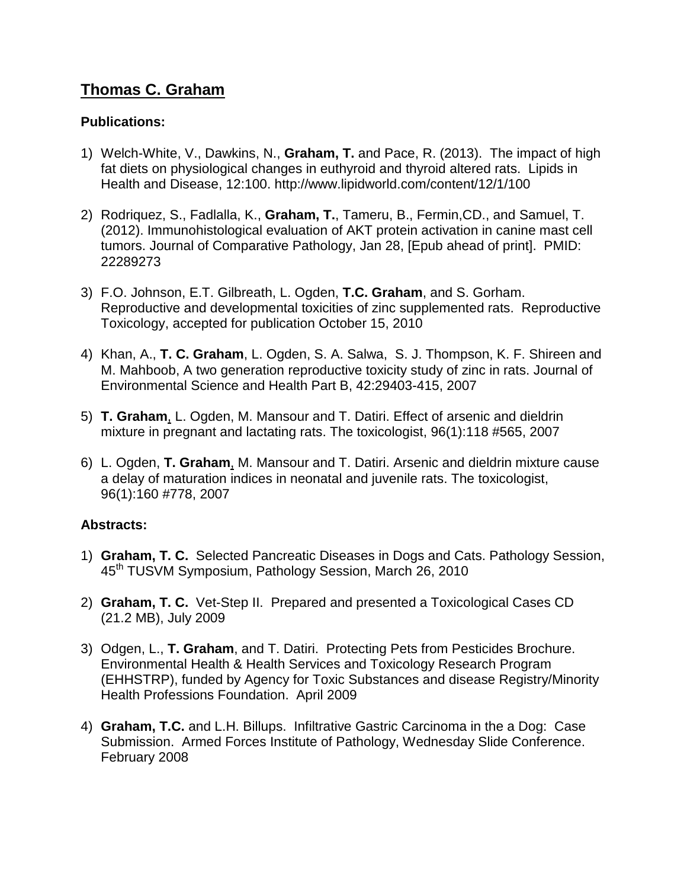## **Thomas C. Graham**

## **Publications:**

- 1) Welch-White, V., Dawkins, N., **Graham, T.** and Pace, R. (2013). The impact of high fat diets on physiological changes in euthyroid and thyroid altered rats. Lipids in Health and Disease, 12:100. http://www.lipidworld.com/content/12/1/100
- 2) Rodriquez, S., Fadlalla, K., **Graham, T.**, Tameru, B., Fermin,CD., and Samuel, T. (2012). Immunohistological evaluation of AKT protein activation in canine mast cell tumors. Journal of Comparative Pathology, Jan 28, [Epub ahead of print]. PMID: 22289273
- 3) F.O. Johnson, E.T. Gilbreath, L. Ogden, **T.C. Graham**, and S. Gorham. Reproductive and developmental toxicities of zinc supplemented rats. Reproductive Toxicology, accepted for publication October 15, 2010
- 4) Khan, A., **T. C. Graham**, L. Ogden, S. A. Salwa, S. J. Thompson, K. F. Shireen and M. Mahboob, A two generation reproductive toxicity study of zinc in rats. Journal of Environmental Science and Health Part B, 42:29403-415, 2007
- 5) **T. Graham**, L. Ogden, M. Mansour and T. Datiri. Effect of arsenic and dieldrin mixture in pregnant and lactating rats. The toxicologist, 96(1):118 #565, 2007
- 6) L. Ogden, **T. Graham**, M. Mansour and T. Datiri. Arsenic and dieldrin mixture cause a delay of maturation indices in neonatal and juvenile rats. The toxicologist, 96(1):160 #778, 2007

## **Abstracts:**

- 1) **Graham, T. C.** Selected Pancreatic Diseases in Dogs and Cats. Pathology Session, 45<sup>th</sup> TUSVM Symposium, Pathology Session, March 26, 2010
- 2) **Graham, T. C.** Vet-Step II. Prepared and presented a Toxicological Cases CD (21.2 MB), July 2009
- 3) Odgen, L., **T. Graham**, and T. Datiri. Protecting Pets from Pesticides Brochure. Environmental Health & Health Services and Toxicology Research Program (EHHSTRP), funded by Agency for Toxic Substances and disease Registry/Minority Health Professions Foundation. April 2009
- 4) **Graham, T.C.** and L.H. Billups. Infiltrative Gastric Carcinoma in the a Dog: Case Submission. Armed Forces Institute of Pathology, Wednesday Slide Conference. February 2008